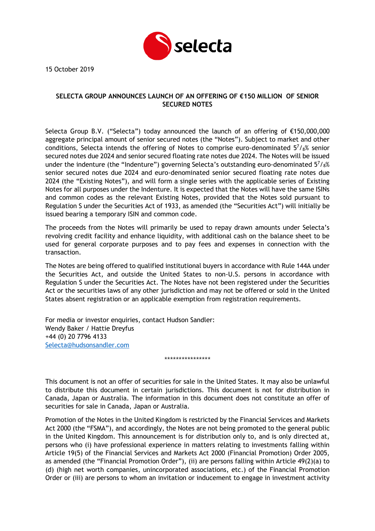

15 October 2019

## **SELECTA GROUP ANNOUNCES LAUNCH OF AN OFFERING OF €150 MILLION OF SENIOR SECURED NOTES**

Selecta Group B.V. ("Selecta") today announced the launch of an offering of €150,000,000 aggregate principal amount of senior secured notes (the "Notes"). Subject to market and other conditions, Selecta intends the offering of Notes to comprise euro-denominated  $57/s$ % senior secured notes due 2024 and senior secured floating rate notes due 2024. The Notes will be issued under the indenture (the "Indenture") governing Selecta's outstanding euro-denominated  $57/8%$ senior secured notes due 2024 and euro-denominated senior secured floating rate notes due 2024 (the "Existing Notes"), and will form a single series with the applicable series of Existing Notes for all purposes under the Indenture. It is expected that the Notes will have the same ISINs and common codes as the relevant Existing Notes, provided that the Notes sold pursuant to Regulation S under the Securities Act of 1933, as amended (the "Securities Act") will initially be issued bearing a temporary ISIN and common code.

The proceeds from the Notes will primarily be used to repay drawn amounts under Selecta's revolving credit facility and enhance liquidity, with additional cash on the balance sheet to be used for general corporate purposes and to pay fees and expenses in connection with the transaction.

The Notes are being offered to qualified institutional buyers in accordance with Rule 144A under the Securities Act, and outside the United States to non-U.S. persons in accordance with Regulation S under the Securities Act. The Notes have not been registered under the Securities Act or the securities laws of any other jurisdiction and may not be offered or sold in the United States absent registration or an applicable exemption from registration requirements.

For media or investor enquiries, contact Hudson Sandler: Wendy Baker / Hattie Dreyfus +44 (0) 20 7796 4133 [Selecta@hudsonsandler.com](mailto:Selecta@hudsonsandler.com)

This document is not an offer of securities for sale in the United States. It may also be unlawful to distribute this document in certain jurisdictions. This document is not for distribution in Canada, Japan or Australia. The information in this document does not constitute an offer of securities for sale in Canada, Japan or Australia.

\*\*\*\*\*\*\*\*\*\*\*\*\*\*\*\*

Promotion of the Notes in the United Kingdom is restricted by the Financial Services and Markets Act 2000 (the "FSMA"), and accordingly, the Notes are not being promoted to the general public in the United Kingdom. This announcement is for distribution only to, and is only directed at, persons who (i) have professional experience in matters relating to investments falling within Article 19(5) of the Financial Services and Markets Act 2000 (Financial Promotion) Order 2005, as amended (the "Financial Promotion Order"), (ii) are persons falling within Article 49(2)(a) to (d) (high net worth companies, unincorporated associations, etc.) of the Financial Promotion Order or (iii) are persons to whom an invitation or inducement to engage in investment activity